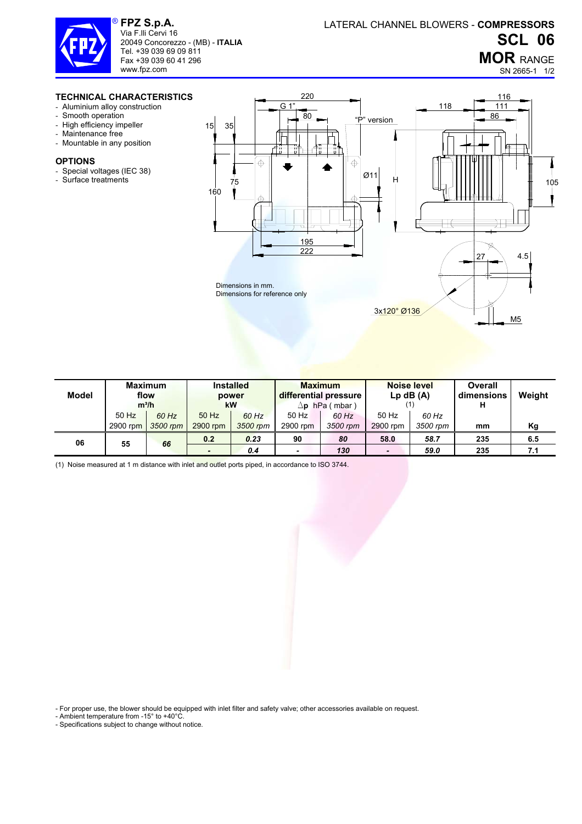

**FPZ S.p.A.**  Via F.lli Cervi 16 20049 Concorezzo - (MB) - **ITALIA** Tel. +39 039 69 09 811 Fax +39 039 60 41 296 www.fpz.com

## **MOR** RANGE

SN 2665-1 1/2

## **TECHNICAL CHARACTERISTICS**

- Aluminium alloy construction
- Smooth operation
- High efficiency impeller
- Maintenance free
- Mountable in any position

## **OPTIONS**

- Special voltages (IEC 38)
- Surface treatments



| Model | <b>Maximum</b><br>flow<br>$m^3/h$ |          | <b>Installed</b><br>power<br>kW |          | <b>Maximum</b><br>differential pressure<br>hPa (mbar)<br>Δp |          | <b>Noise level</b><br>$Lp$ dB $(A)$ |          | <b>Overall</b><br>dimensions<br>н | Weight |
|-------|-----------------------------------|----------|---------------------------------|----------|-------------------------------------------------------------|----------|-------------------------------------|----------|-----------------------------------|--------|
|       | $50$ Hz                           | 60 Hz    | 50 Hz                           | 60 Hz    | 50 Hz                                                       | 60 Hz    | 50 Hz                               | 60 Hz    |                                   |        |
|       | 2900 rpm                          | 3500 rpm | 2900 rpm                        | 3500 rpm | 2900 rpm                                                    | 3500 rpm | 2900 rpm                            | 3500 rpm | mm                                | Κg     |
| 06    | 55                                | 66       | 0.2                             | 0.23     | 90                                                          | 80       | 58.0                                | 58.7     | 235                               | 6.5    |
|       |                                   |          | $\overline{\phantom{a}}$        | 0.4      | $\overline{\phantom{a}}$                                    | 130      | $\blacksquare$                      | 59.0     | 235                               | 7.1    |

(1) Noise measured at 1 m distance with inlet and outlet ports piped, in accordance to ISO 3744.

- For proper use, the blower should be equipped with inlet filter and safety valve; other accessories available on request.

- Ambient temperature from -15° to +40°C.

- Specifications subject to change without notice.